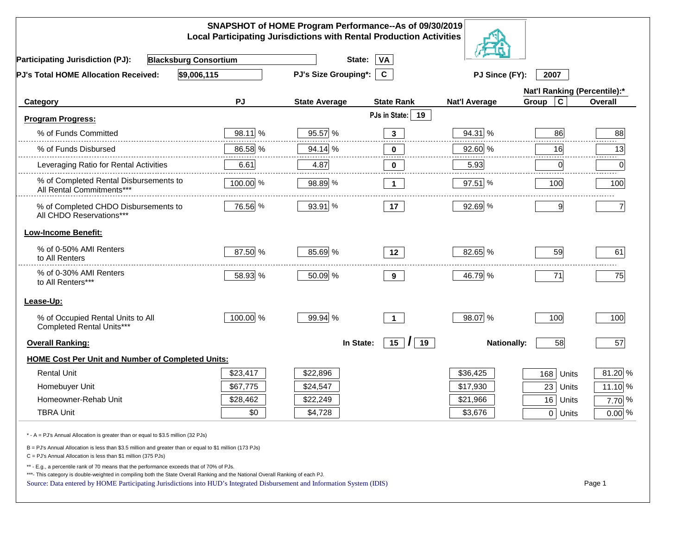|                                                                                                                                                                                                                                                                                                                                                          |           | SNAPSHOT of HOME Program Performance--As of 09/30/2019<br><b>Local Participating Jurisdictions with Rental Production Activities</b> |                      |                      |                              |                |
|----------------------------------------------------------------------------------------------------------------------------------------------------------------------------------------------------------------------------------------------------------------------------------------------------------------------------------------------------------|-----------|--------------------------------------------------------------------------------------------------------------------------------------|----------------------|----------------------|------------------------------|----------------|
| <b>Blacksburg Consortium</b><br><b>Participating Jurisdiction (PJ):</b>                                                                                                                                                                                                                                                                                  |           | State:                                                                                                                               | VA                   |                      |                              |                |
| \$9,006,115<br>PJ's Total HOME Allocation Received:                                                                                                                                                                                                                                                                                                      |           | <b>PJ's Size Grouping*:</b>                                                                                                          | $\mathbf{C}$         | PJ Since (FY):       | 2007                         |                |
|                                                                                                                                                                                                                                                                                                                                                          |           |                                                                                                                                      |                      |                      | Nat'l Ranking (Percentile):* |                |
| <b>Category</b>                                                                                                                                                                                                                                                                                                                                          | <b>PJ</b> | <b>State Average</b>                                                                                                                 | <b>State Rank</b>    | <b>Nat'l Average</b> | $\mathbf c$<br>Group         | Overall        |
| <b>Program Progress:</b>                                                                                                                                                                                                                                                                                                                                 |           |                                                                                                                                      | PJs in State:<br>19  |                      |                              |                |
| % of Funds Committed                                                                                                                                                                                                                                                                                                                                     | 98.11 %   | 95.57 %                                                                                                                              | $\mathbf{3}$         | 94.31 %              | 86                           | 88             |
| % of Funds Disbursed                                                                                                                                                                                                                                                                                                                                     | 86.58 %   | 94.14 %                                                                                                                              | $\bf{0}$             | 92.60 %              | 16                           | 13             |
| Leveraging Ratio for Rental Activities                                                                                                                                                                                                                                                                                                                   | 6.61      | 4.87                                                                                                                                 | 0                    | 5.93                 | 0                            | 0              |
| % of Completed Rental Disbursements to<br>All Rental Commitments***                                                                                                                                                                                                                                                                                      | 100.00 %  | 98.89 %                                                                                                                              | $\mathbf 1$          | 97.51 %              | 100                          | 100            |
| % of Completed CHDO Disbursements to<br>All CHDO Reservations***                                                                                                                                                                                                                                                                                         | 76.56 %   | 93.91 %                                                                                                                              | 17                   | 92.69 %              | 9                            | $\overline{7}$ |
| <b>Low-Income Benefit:</b>                                                                                                                                                                                                                                                                                                                               |           |                                                                                                                                      |                      |                      |                              |                |
| % of 0-50% AMI Renters<br>to All Renters                                                                                                                                                                                                                                                                                                                 | 87.50 %   | 85.69 %                                                                                                                              | 12 <sup>12</sup>     | 82.65 %              | 59                           | 61             |
| % of 0-30% AMI Renters<br>to All Renters***                                                                                                                                                                                                                                                                                                              | 58.93 %   | 50.09 %                                                                                                                              | 9                    | 46.79 %              | 71                           | 75             |
| Lease-Up:                                                                                                                                                                                                                                                                                                                                                |           |                                                                                                                                      |                      |                      |                              |                |
| % of Occupied Rental Units to All<br>Completed Rental Units***                                                                                                                                                                                                                                                                                           | 100.00 %  | 99.94 %                                                                                                                              | $\blacktriangleleft$ | 98.07 %              | 100                          | 100            |
| <b>Overall Ranking:</b>                                                                                                                                                                                                                                                                                                                                  |           | In State:                                                                                                                            | 15<br>19<br>$\prime$ | <b>Nationally:</b>   | 58                           | 57             |
| <b>HOME Cost Per Unit and Number of Completed Units:</b>                                                                                                                                                                                                                                                                                                 |           |                                                                                                                                      |                      |                      |                              |                |
| <b>Rental Unit</b>                                                                                                                                                                                                                                                                                                                                       | \$23,417  | \$22,896                                                                                                                             |                      | \$36,425             | 168<br>Units                 | 81.20 %        |
| Homebuyer Unit                                                                                                                                                                                                                                                                                                                                           | \$67,775  | \$24,547                                                                                                                             |                      | \$17,930             | 23<br>Units                  | 11.10 %        |
| Homeowner-Rehab Unit                                                                                                                                                                                                                                                                                                                                     | \$28,462  | \$22,249                                                                                                                             |                      | \$21,966             | 16<br>Units                  | $7.70\%$       |
| <b>TBRA Unit</b>                                                                                                                                                                                                                                                                                                                                         | \$0       | \$4,728                                                                                                                              |                      | \$3,676              | 0 Units                      | $0.00\%$       |
| * - A = PJ's Annual Allocation is greater than or equal to \$3.5 million (32 PJs)                                                                                                                                                                                                                                                                        |           |                                                                                                                                      |                      |                      |                              |                |
| B = PJ's Annual Allocation is less than \$3.5 million and greater than or equal to \$1 million (173 PJs)<br>C = PJ's Annual Allocation is less than \$1 million (375 PJs)                                                                                                                                                                                |           |                                                                                                                                      |                      |                      |                              |                |
| ** - E.g., a percentile rank of 70 means that the performance exceeds that of 70% of PJs.<br>***- This category is double-weighted in compiling both the State Overall Ranking and the National Overall Ranking of each PJ.<br>Source: Data entered by HOME Participating Jurisdictions into HUD's Integrated Disbursement and Information System (IDIS) |           |                                                                                                                                      |                      |                      |                              | Page 1         |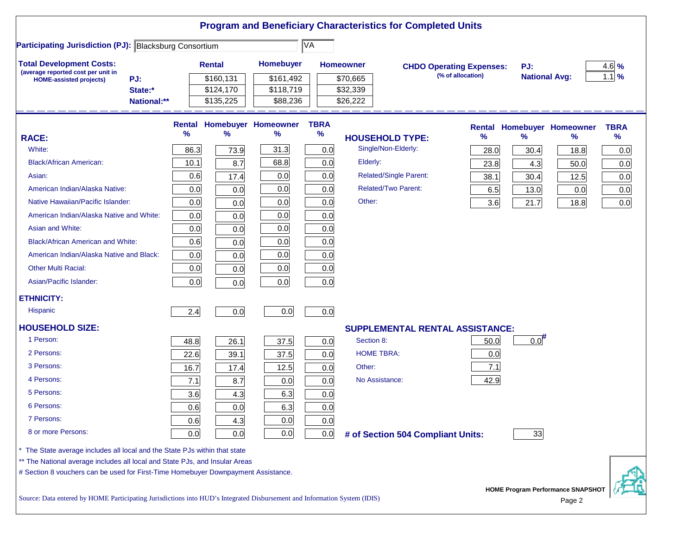|                                                                                                                           |      |               |                                   |             | <b>Program and Beneficiary Characteristics for Completed Units</b> |                                 |                                          |             |
|---------------------------------------------------------------------------------------------------------------------------|------|---------------|-----------------------------------|-------------|--------------------------------------------------------------------|---------------------------------|------------------------------------------|-------------|
| Participating Jurisdiction (PJ): Blacksburg Consortium                                                                    |      |               |                                   | ∣VA         |                                                                    |                                 |                                          |             |
| <b>Total Development Costs:</b>                                                                                           |      | <b>Rental</b> | <b>Homebuyer</b>                  |             | <b>Homeowner</b>                                                   | <b>CHDO Operating Expenses:</b> | PJ:                                      | 4.6%        |
| (average reported cost per unit in<br>PJ:<br><b>HOME-assisted projects)</b>                                               |      | \$160,131     | \$161,492                         |             | \$70,665                                                           | (% of allocation)               | <b>National Avg:</b>                     | $1.1$ %     |
| State:*                                                                                                                   |      | \$124,170     | \$118,719                         |             | \$32,339                                                           |                                 |                                          |             |
| National:**                                                                                                               |      | \$135,225     | \$88,236                          |             | \$26,222                                                           |                                 |                                          |             |
|                                                                                                                           |      |               | <b>Rental Homebuyer Homeowner</b> | <b>TBRA</b> |                                                                    | <b>Rental</b>                   | <b>Homebuyer Homeowner</b>               | <b>TBRA</b> |
| <b>RACE:</b>                                                                                                              | %    | $\%$          | $\%$                              | %           | <b>HOUSEHOLD TYPE:</b>                                             | ℅                               | $\%$<br>$\%$                             | %           |
| White:                                                                                                                    | 86.3 | 73.9          | 31.3                              | 0.0         | Single/Non-Elderly:                                                | 28.0                            | 30.4<br>18.8                             | 0.0         |
| <b>Black/African American:</b>                                                                                            | 10.1 | 8.7           | 68.8                              | 0.0         | Elderly:                                                           | 23.8                            | 50.0<br>4.3                              | 0.0         |
| Asian:                                                                                                                    | 0.6  | 17.4          | 0.0                               | 0.0         | <b>Related/Single Parent:</b>                                      | 38.1                            | 30.4<br>12.5                             | 0.0         |
| American Indian/Alaska Native:                                                                                            | 0.0  | 0.0           | 0.0                               | 0.0         | <b>Related/Two Parent:</b>                                         | 6.5                             | 13.0<br>0.0                              | 0.0         |
| Native Hawaiian/Pacific Islander:                                                                                         | 0.0  | 0.0           | 0.0                               | 0.0         | Other:                                                             | 3.6                             | 21.7<br>18.8                             | 0.0         |
| American Indian/Alaska Native and White:                                                                                  | 0.0  | 0.0           | 0.0                               | 0.0         |                                                                    |                                 |                                          |             |
| Asian and White:                                                                                                          | 0.0  | 0.0           | 0.0                               | 0.0         |                                                                    |                                 |                                          |             |
| <b>Black/African American and White:</b>                                                                                  | 0.6  | 0.0           | 0.0                               | 0.0         |                                                                    |                                 |                                          |             |
| American Indian/Alaska Native and Black:                                                                                  | 0.0  | 0.0           | 0.0                               | 0.0         |                                                                    |                                 |                                          |             |
| <b>Other Multi Racial:</b>                                                                                                | 0.0  | 0.0           | 0.0                               | 0.0         |                                                                    |                                 |                                          |             |
| Asian/Pacific Islander:                                                                                                   | 0.0  | 0.0           | 0.0                               | 0.0         |                                                                    |                                 |                                          |             |
| <b>ETHNICITY:</b>                                                                                                         |      |               |                                   |             |                                                                    |                                 |                                          |             |
| <b>Hispanic</b>                                                                                                           | 2.4  | 0.0           | 0.0                               | 0.0         |                                                                    |                                 |                                          |             |
|                                                                                                                           |      |               |                                   |             |                                                                    |                                 |                                          |             |
| <b>HOUSEHOLD SIZE:</b>                                                                                                    |      |               |                                   |             | <b>SUPPLEMENTAL RENTAL ASSISTANCE:</b>                             |                                 |                                          |             |
| 1 Person:                                                                                                                 | 48.8 | 26.1          | 37.5                              | 0.0         | Section 8:                                                         | 50.0                            | $0.0$ <sup>#</sup>                       |             |
| 2 Persons:                                                                                                                | 22.6 | 39.1          | 37.5                              | 0.0         | <b>HOME TBRA:</b>                                                  | 0.0                             |                                          |             |
| 3 Persons:                                                                                                                | 16.7 | 17.4          | 12.5                              | 0.0         | Other:                                                             | 7.1                             |                                          |             |
| 4 Persons:                                                                                                                | 7.1  | 8.7           | 0.0                               | 0.0         | No Assistance:                                                     | 42.9                            |                                          |             |
| 5 Persons:                                                                                                                | 3.6  | 4.3           | 6.3                               | 0.0         |                                                                    |                                 |                                          |             |
| 6 Persons:                                                                                                                | 0.6  | 0.0           | 6.3                               | 0.0         |                                                                    |                                 |                                          |             |
| 7 Persons:                                                                                                                | 0.6  | 4.3           | 0.0                               | 0.0         |                                                                    |                                 |                                          |             |
| 8 or more Persons:                                                                                                        | 0.0  | 0.0           | 0.0                               | 0.0         | # of Section 504 Compliant Units:                                  |                                 | 33                                       |             |
| * The State average includes all local and the State PJs within that state                                                |      |               |                                   |             |                                                                    |                                 |                                          |             |
| ** The National average includes all local and State PJs, and Insular Areas                                               |      |               |                                   |             |                                                                    |                                 |                                          |             |
| # Section 8 vouchers can be used for First-Time Homebuyer Downpayment Assistance.                                         |      |               |                                   |             |                                                                    |                                 |                                          |             |
|                                                                                                                           |      |               |                                   |             |                                                                    |                                 | <b>HOME Program Performance SNAPSHOT</b> |             |
| Source: Data entered by HOME Participating Jurisdictions into HUD's Integrated Disbursement and Information System (IDIS) |      |               |                                   |             |                                                                    |                                 | Page 2                                   |             |